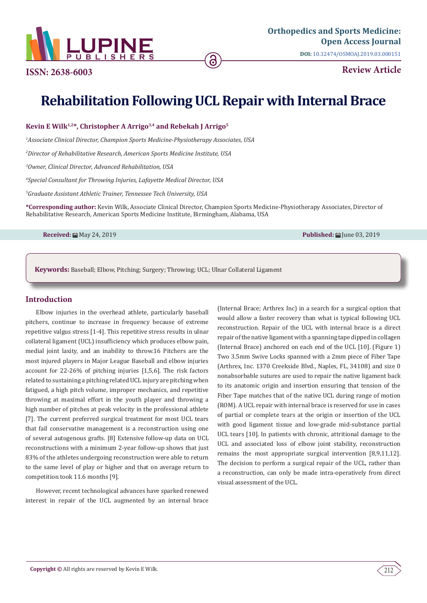

# **Rehabilitation Following UCL Repair with Internal Brace**

**Kevin E Wilk1,2\*, Christopher A Arrigo3,4 and Rebekah J Arrigo5**

*1 Associate Clinical Director, Champion Sports Medicine-Physiotherapy Associates, USA*

*2 Director of Rehabilitative Research, American Sports Medicine Institute, USA*

*3 Owner, Clinical Director, Advanced Rehabilitation, USA*

*4 Special Consultant for Throwing Injuries, Lafayette Medical Director, USA*

*5 Graduate Assistant Athletic Trainer, Tennessee Tech University, USA*

**\*Corresponding author:** Kevin Wilk, Associate Clinical Director, Champion Sports Medicine-Physiotherapy Associates, Director of Rehabilitative Research, American Sports Medicine Institute, Birmingham, Alabama, USA

**Received:** ■ May 24, 2019 **Published:** コンピュートのコンピュートのコンピュートのコンピュートのコンピュートのコンピュートのコンピュートのコンピュートのコンピュートのコンピュートのコンピュート

**Keywords:** Baseball; Elbow, Pitching; Surgery; Throwing; UCL; Ulnar Collateral Ligament

### **Introduction**

Elbow injuries in the overhead athlete, particularly baseball pitchers, continue to increase in frequency because of extreme repetitive valgus stress [1-4]. This repetitive stress results in ulnar collateral ligament (UCL) insufficiency which produces elbow pain, medial joint laxity, and an inability to throw.16 Pitchers are the most injured players in Major League Baseball and elbow injuries account for 22-26% of pitching injuries [1,5,6]. The risk factors related to sustaining a pitching related UCL injury are pitching when fatigued, a high pitch volume, improper mechanics, and repetitive throwing at maximal effort in the youth player and throwing a high number of pitches at peak velocity in the professional athlete [7]. The current preferred surgical treatment for most UCL tears that fail conservative management is a reconstruction using one of several autogenous grafts. [8] Extensive follow-up data on UCL reconstructions with a minimum 2-year follow-up shows that just 83% of the athletes undergoing reconstruction were able to return to the same level of play or higher and that on average return to competition took 11.6 months [9].

However, recent technological advances have sparked renewed interest in repair of the UCL augmented by an internal brace

(Internal Brace; Arthrex Inc) in a search for a surgical option that would allow a faster recovery than what is typical following UCL reconstruction. Repair of the UCL with internal brace is a direct repair of the native ligament with a spanning tape dipped in collagen (Internal Brace) anchored on each end of the UCL [10]. (Figure 1) Two 3.5mm Swive Locks spanned with a 2mm piece of Fiber Tape (Arthrex, Inc. 1370 Creekside Blvd., Naples, FL, 34108) and size 0 nonabsorbable sutures are used to repair the native ligament back to its anatomic origin and insertion ensuring that tension of the Fiber Tape matches that of the native UCL during range of motion (ROM). A UCL repair with internal brace is reserved for use in cases of partial or complete tears at the origin or insertion of the UCL with good ligament tissue and low-grade mid-substance partial UCL tears [10]. In patients with chronic, attritional damage to the UCL and associated loss of elbow joint stability, reconstruction remains the most appropriate surgical intervention [8,9,11,12]. The decision to perform a surgical repair of the UCL, rather than a reconstruction, can only be made intra-operatively from direct visual assessment of the UCL.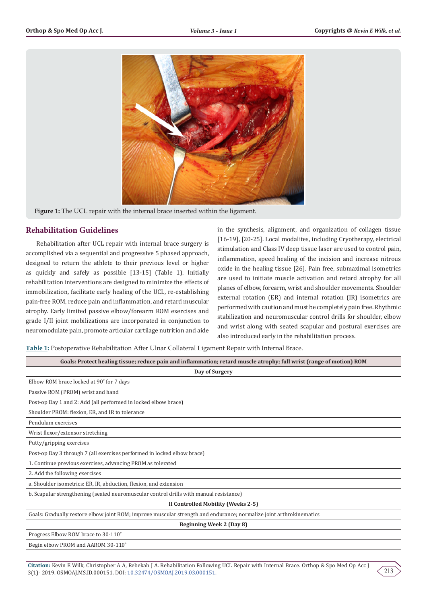

**Figure 1:** The UCL repair with the internal brace inserted within the ligament.

# **Rehabilitation Guidelines**

Rehabilitation after UCL repair with internal brace surgery is accomplished via a sequential and progressive 5 phased approach, designed to return the athlete to their previous level or higher as quickly and safely as possible [13-15] (Table 1). Initially rehabilitation interventions are designed to minimize the effects of immobilization, facilitate early healing of the UCL, re-establishing pain-free ROM, reduce pain and inflammation, and retard muscular atrophy. Early limited passive elbow/forearm ROM exercises and grade I/II joint mobilizations are incorporated in conjunction to neuromodulate pain, promote articular cartilage nutrition and aide

in the synthesis, alignment, and organization of collagen tissue [16-19], [20-25]. Local modalites, including Cryotherapy, electrical stimulation and Class IV deep tissue laser are used to control pain, inflammation, speed healing of the incision and increase nitrous oxide in the healing tissue [26]. Pain free, submaximal isometrics are used to initiate muscle activation and retard atrophy for all planes of elbow, forearm, wrist and shoulder movements. Shoulder external rotation (ER) and internal rotation (IR) isometrics are performed with caution and must be completely pain free. Rhythmic stabilization and neuromuscular control drills for shoulder, elbow and wrist along with seated scapular and postural exercises are also introduced early in the rehabilitation process.

**Table 1:** Postoperative Rehabilitation After Ulnar Collateral Ligament Repair with Internal Brace.

| Goals: Protect healing tissue; reduce pain and inflammation; retard muscle atrophy; full wrist (range of motion) ROM |
|----------------------------------------------------------------------------------------------------------------------|
| Day of Surgery                                                                                                       |
| Elbow ROM brace locked at 90° for 7 days                                                                             |
| Passive ROM (PROM) wrist and hand                                                                                    |
| Post-op Day 1 and 2: Add (all performed in locked elbow brace)                                                       |
| Shoulder PROM: flexion, ER, and IR to tolerance                                                                      |
| Pendulum exercises                                                                                                   |
| Wrist flexor/extensor stretching                                                                                     |
| Putty/gripping exercises                                                                                             |
| Post-op Day 3 through 7 (all exercises performed in locked elbow brace)                                              |
| 1. Continue previous exercises, advancing PROM as tolerated                                                          |
| 2. Add the following exercises                                                                                       |
| a. Shoulder isometrics: ER, IR, abduction, flexion, and extension                                                    |
| b. Scapular strengthening (seated neuromuscular control drills with manual resistance)                               |
| II Controlled Mobility (Weeks 2-5)                                                                                   |
| Goals: Gradually restore elbow joint ROM; improve muscular strength and endurance; normalize joint arthrokinematics  |
| Beginning Week 2 (Day 8)                                                                                             |
| Progress Elbow ROM brace to 30-110°                                                                                  |
| Begin elbow PROM and AAROM 30-110°                                                                                   |

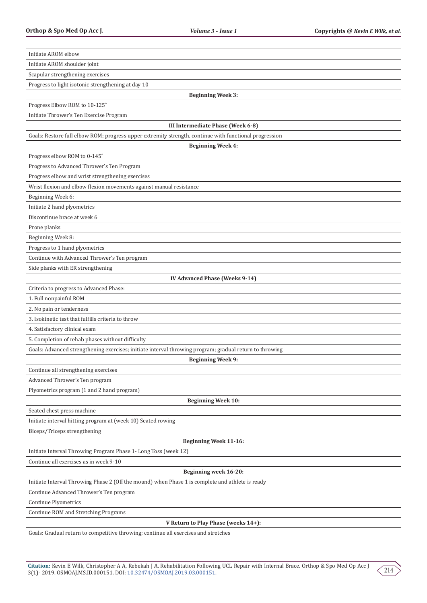| Initiate AROM elbow                                                                                     |
|---------------------------------------------------------------------------------------------------------|
| Initiate AROM shoulder joint                                                                            |
| Scapular strengthening exercises                                                                        |
| Progress to light isotonic strengthening at day 10                                                      |
| <b>Beginning Week 3:</b>                                                                                |
| Progress Elbow ROM to 10-125°                                                                           |
| Initiate Thrower's Ten Exercise Program                                                                 |
| <b>III Intermediate Phase (Week 6-8)</b>                                                                |
| Goals: Restore full elbow ROM; progress upper extremity strength, continue with functional progression  |
| <b>Beginning Week 4:</b>                                                                                |
| Progress elbow ROM to 0-145°                                                                            |
| Progress to Advanced Thrower's Ten Program                                                              |
| Progress elbow and wrist strengthening exercises                                                        |
| Wrist flexion and elbow flexion movements against manual resistance                                     |
| Beginning Week 6:                                                                                       |
| Initiate 2 hand plyometrics                                                                             |
| Discontinue brace at week 6                                                                             |
| Prone planks                                                                                            |
| Beginning Week 8:                                                                                       |
| Progress to 1 hand plyometrics                                                                          |
| Continue with Advanced Thrower's Ten program                                                            |
| Side planks with ER strengthening                                                                       |
| <b>IV Advanced Phase (Weeks 9-14)</b>                                                                   |
| Criteria to progress to Advanced Phase:                                                                 |
| 1. Full nonpainful ROM                                                                                  |
| 2. No pain or tenderness                                                                                |
| 3. Isokinetic test that fulfills criteria to throw                                                      |
| 4. Satisfactory clinical exam                                                                           |
| 5. Completion of rehab phases without difficulty                                                        |
| Goals: Advanced strengthening exercises; initiate interval throwing program; gradual return to throwing |
| <b>Beginning Week 9:</b>                                                                                |
| Continue all strengthening exercises                                                                    |
| Advanced Thrower's Ten program                                                                          |
| Plyometrics program (1 and 2 hand program)                                                              |
| <b>Beginning Week 10:</b>                                                                               |
| Seated chest press machine                                                                              |
| Initiate interval hitting program at (week 10) Seated rowing                                            |
| Biceps/Triceps strengthening                                                                            |
| <b>Beginning Week 11-16:</b>                                                                            |
| Initiate Interval Throwing Program Phase 1- Long Toss (week 12)                                         |
| Continue all exercises as in week 9-10                                                                  |
| Beginning week 16-20:                                                                                   |
| Initiate Interval Throwing Phase 2 (Off the mound) when Phase 1 is complete and athlete is ready        |
| Continue Advanced Thrower's Ten program                                                                 |
| Continue Plyometrics                                                                                    |
| Continue ROM and Stretching Programs                                                                    |
| V Return to Play Phase (weeks 14+):                                                                     |
| Goals: Gradual return to competitive throwing; continue all exercises and stretches                     |

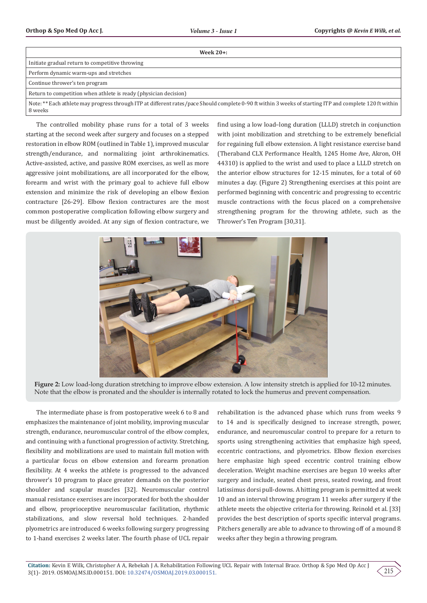| Week $20+$ :                                                                                                                                                        |
|---------------------------------------------------------------------------------------------------------------------------------------------------------------------|
| Initiate gradual return to competitive throwing                                                                                                                     |
| Perform dynamic warm-ups and stretches                                                                                                                              |
| Continue thrower's ten program                                                                                                                                      |
| Return to competition when athlete is ready (physician decision)                                                                                                    |
| Note: ** Each athlete may progress through ITP at different rates/pace Should complete 0-90 ft within 3 weeks of starting ITP and complete 120 ft within<br>8 weeks |

The controlled mobility phase runs for a total of 3 weeks starting at the second week after surgery and focuses on a stepped restoration in elbow ROM (outlined in Table 1), improved muscular strength/endurance, and normalizing joint arthrokinematics. Active-assisted, active, and passive ROM exercises, as well as more aggressive joint mobilizations, are all incorporated for the elbow, forearm and wrist with the primary goal to achieve full elbow extension and minimize the risk of developing an elbow flexion contracture [26-29]. Elbow flexion contractures are the most common postoperative complication following elbow surgery and must be diligently avoided. At any sign of flexion contracture, we find using a low load–long duration (LLLD) stretch in conjunction with joint mobilization and stretching to be extremely beneficial for regaining full elbow extension. A light resistance exercise band (Theraband CLX Performance Health, 1245 Home Ave, Akron, OH 44310) is applied to the wrist and used to place a LLLD stretch on the anterior elbow structures for 12-15 minutes, for a total of 60 minutes a day. (Figure 2) Strengthening exercises at this point are performed beginning with concentric and progressing to eccentric muscle contractions with the focus placed on a comprehensive strengthening program for the throwing athlete, such as the Thrower's Ten Program [30,31].



**Figure 2:** Low load-long duration stretching to improve elbow extension. A low intensity stretch is applied for 10-12 minutes. Note that the elbow is pronated and the shoulder is internally rotated to lock the humerus and prevent compensation.

The intermediate phase is from postoperative week 6 to 8 and emphasizes the maintenance of joint mobility, improving muscular strength, endurance, neuromuscular control of the elbow complex, and continuing with a functional progression of activity. Stretching, flexibility and mobilizations are used to maintain full motion with a particular focus on elbow extension and forearm pronation flexibility. At 4 weeks the athlete is progressed to the advanced thrower's 10 program to place greater demands on the posterior shoulder and scapular muscles [32]. Neuromuscular control manual resistance exercises are incorporated for both the shoulder and elbow, proprioceptive neuromuscular facilitation, rhythmic stabilizations, and slow reversal hold techniques. 2-handed plyometrics are introduced 6 weeks following surgery progressing to 1-hand exercises 2 weeks later. The fourth phase of UCL repair rehabilitation is the advanced phase which runs from weeks 9 to 14 and is specifically designed to increase strength, power, endurance, and neuromuscular control to prepare for a return to sports using strengthening activities that emphasize high speed, eccentric contractions, and plyometrics. Elbow flexion exercises here emphasize high speed eccentric control training elbow deceleration. Weight machine exercises are begun 10 weeks after surgery and include, seated chest press, seated rowing, and front latissimus dorsi pull-downs. A hitting program is permitted at week 10 and an interval throwing program 11 weeks after surgery if the athlete meets the objective criteria for throwing. Reinold et al. [33] provides the best description of sports specific interval programs. Pitchers generally are able to advance to throwing off of a mound 8 weeks after they begin a throwing program.

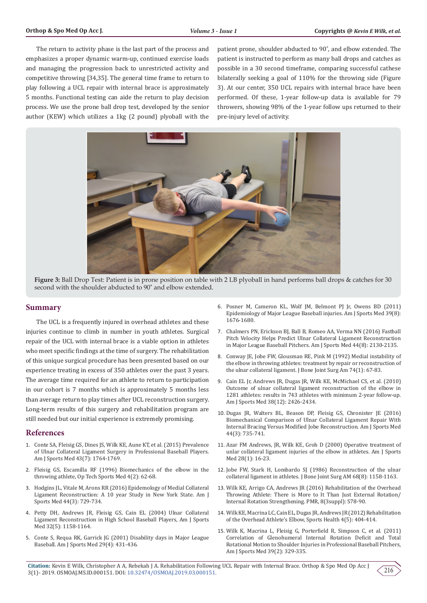The return to activity phase is the last part of the process and emphasizes a proper dynamic warm-up, continued exercise loads and managing the progression back to unrestricted activity and competitive throwing [34,35]. The general time frame to return to play following a UCL repair with internal brace is approximately 5 months. Functional testing can aide the return to play decision process. We use the prone ball drop test, developed by the senior author (KEW) which utilizes a 1kg (2 pound) plyoball with the patient prone, shoulder abducted to 90˚, and elbow extended. The patient is instructed to perform as many ball drops and catches as possible in a 30 second timeframe, comparing successful cathese bilaterally seeking a goal of 110% for the throwing side (Figure 3). At our center, 350 UCL repairs with internal brace have been performed. Of these, 1-year follow-up data is available for 79 throwers, showing 98% of the 1-year follow ups returned to their pre-injury level of activity.



**Figure 3:** Ball Drop Test: Patient is in prone position on table with 2 LB plyoball in hand performs ball drops & catches for 30 second with the shoulder abducted to 90˚ and elbow extended.

#### **Summary**

The UCL is a frequently injured in overhead athletes and these injuries continue to climb in number in youth athletes. Surgical repair of the UCL with internal brace is a viable option in athletes who meet specific findings at the time of surgery. The rehabilitation of this unique surgical procedure has been presented based on our experience treating in excess of 350 athletes over the past 3 years. The average time required for an athlete to return to participation in our cohort is 7 months which is approximately 5 months less than average return to play times after UCL reconstruction surgery. Long-term results of this surgery and rehabilitation program are still needed but our initial experience is extremely promising.

#### **References**

- 1. [Conte SA, Fleisig GS, Dines JS, Wilk KE, Aune KT, et al. \(2015\) Prevalence](https://www.ncbi.nlm.nih.gov/pubmed/25925603)  [of Ulnar Collateral Ligament Surgery in Professional Baseball Players.](https://www.ncbi.nlm.nih.gov/pubmed/25925603)  [Am J Sports Med 43\(7\): 1764-1769.](https://www.ncbi.nlm.nih.gov/pubmed/25925603)
- 2. [Fleisig GS, Escamilla RF \(1996\) Biomechanics of the elbow in the](http://www.bcmperformance.net/uploads/1/0/7/2/10727066/biomechanics_of_the_elbow_in_the__throwing_athlete_.pdf)  [throwing athlete, Op Tech Sports Med 4\(2\): 62-68.](http://www.bcmperformance.net/uploads/1/0/7/2/10727066/biomechanics_of_the_elbow_in_the__throwing_athlete_.pdf)
- 3. [Hodgins JL, Vitale M, Arons RR \(2016\) Epidemology of Medial Collateral](https://www.ncbi.nlm.nih.gov/pubmed/26797699)  [Ligament Reconstruction: A 10 year Study in New York State. Am J](https://www.ncbi.nlm.nih.gov/pubmed/26797699)  [Sports Med 44\(3\): 729-734.](https://www.ncbi.nlm.nih.gov/pubmed/26797699)
- 4. [Petty DH, Andrews JR, Fleisig GS, Cain EL \(2004\) Ulnar Collateral](https://www.ncbi.nlm.nih.gov/pubmed/15262637)  [Ligament Reconstruction in High School Baseball Players, Am J Sports](https://www.ncbi.nlm.nih.gov/pubmed/15262637)  [Med 32\(5\): 1158-1164.](https://www.ncbi.nlm.nih.gov/pubmed/15262637)
- 5. [Conte S, Requa RK, Garrick JG \(2001\) Disability days in Major League](https://www.ncbi.nlm.nih.gov/pubmed/11476381)  [Baseball. Am J Sports Med 29\(4\): 431-436.](https://www.ncbi.nlm.nih.gov/pubmed/11476381)
- 6. [Posner M, Cameron KL, Wolf JM, Belmont PJ Jr, Owens BD \(2011\)](https://www.ncbi.nlm.nih.gov/pubmed/21709023) [Epidemiology of Major League Baseball injuries. Am J Sports Med 39\(8\):](https://www.ncbi.nlm.nih.gov/pubmed/21709023) [1676-1680.](https://www.ncbi.nlm.nih.gov/pubmed/21709023)
- 7. [Chalmers PN, Erickson BJ, Ball B, Romeo AA, Verma NN \(2016\) Fastball](https://www.ncbi.nlm.nih.gov/pubmed/26983459) [Pitch Velocity Helps Predict Ulnar Collateral Ligament Reconstruction](https://www.ncbi.nlm.nih.gov/pubmed/26983459) [in Major League Baseball Pitchers. Am J Sports Med 44\(8\): 2130-2135.](https://www.ncbi.nlm.nih.gov/pubmed/26983459)
- 8. [Conway JE, Jobe FW, Glousman RE, Pink M \(1992\) Medial instability of](https://www.ncbi.nlm.nih.gov/pubmed/1734015) [the elbow in throwing athletes: treatment by repair or reconstruction of](https://www.ncbi.nlm.nih.gov/pubmed/1734015) [the ulnar collateral ligament. J Bone Joint Surg Am 74\(1\): 67-83.](https://www.ncbi.nlm.nih.gov/pubmed/1734015)
- 9. [Cain EL Jr, Andrews JR, Dugas JR, Wilk KE, McMichael CS, et al. \(2010\)](https://www.ncbi.nlm.nih.gov/pubmed/20929932) [Outcome of ulnar collateral ligament reconstruction of the elbow in](https://www.ncbi.nlm.nih.gov/pubmed/20929932) [1281 athletes: results in 743 athletes with minimum 2-year follow-up.](https://www.ncbi.nlm.nih.gov/pubmed/20929932) [Am J Sports Med 38\(12\): 2426-2434.](https://www.ncbi.nlm.nih.gov/pubmed/20929932)
- 10. [Dugas JR, Walters BL, Beason DP, Fleisig GS, Chronister JE \(2016\)](https://www.ncbi.nlm.nih.gov/pubmed/26717972) [Biomechanical Comparison of Ulnar Collateral Ligament Repair With](https://www.ncbi.nlm.nih.gov/pubmed/26717972) [Internal Bracing Versus Modified Jobe Reconstruction. Am J Sports Med](https://www.ncbi.nlm.nih.gov/pubmed/26717972) [44\(3\): 735-741.](https://www.ncbi.nlm.nih.gov/pubmed/26717972)
- 11. [Azar FM Andrews, JR, Wilk KE, Groh D \(2000\) Operative treatment of](https://www.ncbi.nlm.nih.gov/pubmed/10653538) [unlar collateral ligament injuries of the elbow in athletes. Am J Sports](https://www.ncbi.nlm.nih.gov/pubmed/10653538) [Med 28\(1\): 16-23.](https://www.ncbi.nlm.nih.gov/pubmed/10653538)
- 12. [Jobe FW, Stark H, Lombardo SJ \(1986\) Reconstruction of the ulnar](https://www.ncbi.nlm.nih.gov/pubmed/3771597) [collateral ligament in athletes. J Bone Joint Surg AM 68\(8\): 1158-1163.](https://www.ncbi.nlm.nih.gov/pubmed/3771597)
- 13. [Wilk KE, Arrigo CA, Andrews JR \(2016\) Rehabilitation of the Overhead](https://www.ncbi.nlm.nih.gov/pubmed/26972270) [Throwing Athlete: There is More to It Than Just External Rotation/](https://www.ncbi.nlm.nih.gov/pubmed/26972270) [Internal Rotation Strengthening. PMR, 8\(3suppl\): S78-90.](https://www.ncbi.nlm.nih.gov/pubmed/26972270)
- 14. [Wilk KE, Macrina LC, Cain EL, Dugas JR, Andrews JR \(2012\) Rehabilitation](https://www.ncbi.nlm.nih.gov/pubmed/23016113/) [of the Overhead Athlete's Elbow, Sports Health 4\(5\): 404-414.](https://www.ncbi.nlm.nih.gov/pubmed/23016113/)
- 15. [Wilk K, Macrina L, Fleisig G, Porterfield R, Simpson C, et al. \(2011\)](https://www.ncbi.nlm.nih.gov/pubmed/21131681) [Correlation of Glenohumeral Internal Rotation Deficit and Total](https://www.ncbi.nlm.nih.gov/pubmed/21131681) [Rotational Motion to Shoulder Injuries in Professional Baseball Pitchers,](https://www.ncbi.nlm.nih.gov/pubmed/21131681) [Am J Sports Med 39\(2\): 329-335.](https://www.ncbi.nlm.nih.gov/pubmed/21131681)

**Citation:** Kevin E Wilk, Christopher A A, Rebekah J A. Rehabilitation Following UCL Repair with Internal Brace. Orthop & Spo Med Op Acc J 3(1)- 2019. OSMOAJ.MS.ID.000151. DOI: [10.32474/OSMOAJ.2019.03.000151](http://dx.doi.org/10.32474/OSMOAJ.2019.03.000151).

216